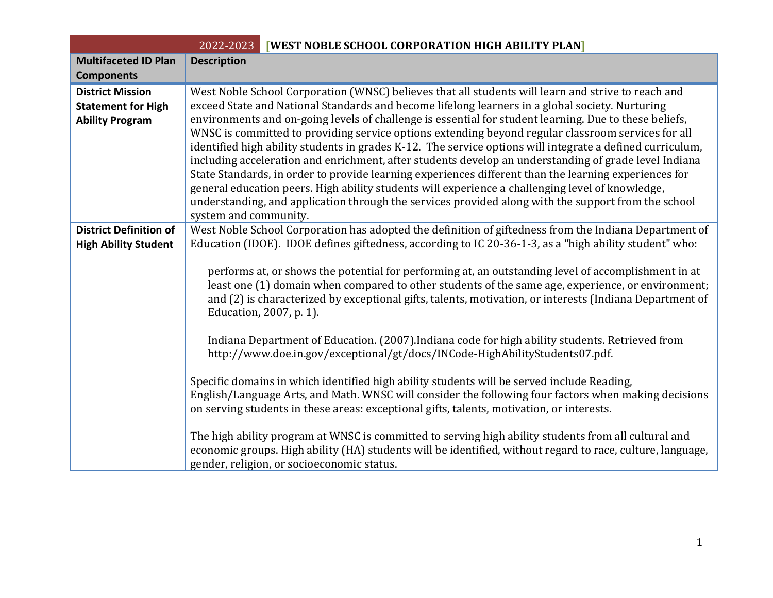| 2022-2023<br><b>[WEST NOBLE SCHOOL CORPORATION HIGH ABILITY PLAN]</b> |                                                                                                                                                                                                                |  |  |  |  |
|-----------------------------------------------------------------------|----------------------------------------------------------------------------------------------------------------------------------------------------------------------------------------------------------------|--|--|--|--|
| <b>Multifaceted ID Plan</b>                                           | <b>Description</b>                                                                                                                                                                                             |  |  |  |  |
| <b>Components</b>                                                     |                                                                                                                                                                                                                |  |  |  |  |
| <b>District Mission</b>                                               | West Noble School Corporation (WNSC) believes that all students will learn and strive to reach and                                                                                                             |  |  |  |  |
| <b>Statement for High</b>                                             | exceed State and National Standards and become lifelong learners in a global society. Nurturing                                                                                                                |  |  |  |  |
| <b>Ability Program</b>                                                | environments and on-going levels of challenge is essential for student learning. Due to these beliefs,                                                                                                         |  |  |  |  |
|                                                                       | WNSC is committed to providing service options extending beyond regular classroom services for all                                                                                                             |  |  |  |  |
|                                                                       | identified high ability students in grades K-12. The service options will integrate a defined curriculum,                                                                                                      |  |  |  |  |
|                                                                       | including acceleration and enrichment, after students develop an understanding of grade level Indiana<br>State Standards, in order to provide learning experiences different than the learning experiences for |  |  |  |  |
|                                                                       | general education peers. High ability students will experience a challenging level of knowledge,                                                                                                               |  |  |  |  |
|                                                                       | understanding, and application through the services provided along with the support from the school                                                                                                            |  |  |  |  |
|                                                                       | system and community.                                                                                                                                                                                          |  |  |  |  |
| <b>District Definition of</b>                                         | West Noble School Corporation has adopted the definition of giftedness from the Indiana Department of                                                                                                          |  |  |  |  |
| <b>High Ability Student</b>                                           | Education (IDOE). IDOE defines giftedness, according to IC 20-36-1-3, as a "high ability student" who:                                                                                                         |  |  |  |  |
|                                                                       |                                                                                                                                                                                                                |  |  |  |  |
|                                                                       | performs at, or shows the potential for performing at, an outstanding level of accomplishment in at                                                                                                            |  |  |  |  |
|                                                                       | least one (1) domain when compared to other students of the same age, experience, or environment;                                                                                                              |  |  |  |  |
|                                                                       | and (2) is characterized by exceptional gifts, talents, motivation, or interests (Indiana Department of<br>Education, 2007, p. 1).                                                                             |  |  |  |  |
|                                                                       |                                                                                                                                                                                                                |  |  |  |  |
|                                                                       | Indiana Department of Education. (2007). Indiana code for high ability students. Retrieved from                                                                                                                |  |  |  |  |
|                                                                       | http://www.doe.in.gov/exceptional/gt/docs/INCode-HighAbilityStudents07.pdf.                                                                                                                                    |  |  |  |  |
|                                                                       |                                                                                                                                                                                                                |  |  |  |  |
|                                                                       | Specific domains in which identified high ability students will be served include Reading,                                                                                                                     |  |  |  |  |
|                                                                       | English/Language Arts, and Math. WNSC will consider the following four factors when making decisions                                                                                                           |  |  |  |  |
|                                                                       | on serving students in these areas: exceptional gifts, talents, motivation, or interests.                                                                                                                      |  |  |  |  |
|                                                                       | The high ability program at WNSC is committed to serving high ability students from all cultural and                                                                                                           |  |  |  |  |
|                                                                       | economic groups. High ability (HA) students will be identified, without regard to race, culture, language,                                                                                                     |  |  |  |  |
|                                                                       | gender, religion, or socioeconomic status.                                                                                                                                                                     |  |  |  |  |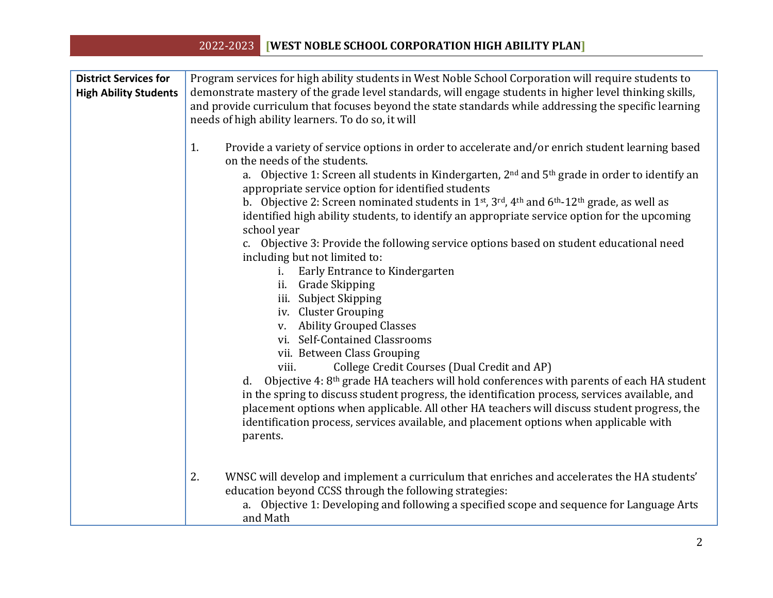| <b>District Services for</b><br><b>High Ability Students</b> | Program services for high ability students in West Noble School Corporation will require students to<br>demonstrate mastery of the grade level standards, will engage students in higher level thinking skills,<br>and provide curriculum that focuses beyond the state standards while addressing the specific learning<br>needs of high ability learners. To do so, it will                                                                                                                                                                                                                                                                                                                                                                                                                                      |  |  |  |
|--------------------------------------------------------------|--------------------------------------------------------------------------------------------------------------------------------------------------------------------------------------------------------------------------------------------------------------------------------------------------------------------------------------------------------------------------------------------------------------------------------------------------------------------------------------------------------------------------------------------------------------------------------------------------------------------------------------------------------------------------------------------------------------------------------------------------------------------------------------------------------------------|--|--|--|
|                                                              | Provide a variety of service options in order to accelerate and/or enrich student learning based<br>1.<br>on the needs of the students.<br>a. Objective 1: Screen all students in Kindergarten, 2 <sup>nd</sup> and 5 <sup>th</sup> grade in order to identify an<br>appropriate service option for identified students<br>b. Objective 2: Screen nominated students in 1st, 3rd, 4th and 6th-12th grade, as well as<br>identified high ability students, to identify an appropriate service option for the upcoming<br>school year                                                                                                                                                                                                                                                                                |  |  |  |
|                                                              | c. Objective 3: Provide the following service options based on student educational need<br>including but not limited to:<br>Early Entrance to Kindergarten<br>i.<br>ii. Grade Skipping<br>iii. Subject Skipping<br>iv. Cluster Grouping<br>v. Ability Grouped Classes<br>vi. Self-Contained Classrooms<br>vii. Between Class Grouping<br>College Credit Courses (Dual Credit and AP)<br>viii.<br>Objective 4: 8 <sup>th</sup> grade HA teachers will hold conferences with parents of each HA student<br>d.<br>in the spring to discuss student progress, the identification process, services available, and<br>placement options when applicable. All other HA teachers will discuss student progress, the<br>identification process, services available, and placement options when applicable with<br>parents. |  |  |  |
|                                                              | 2.<br>WNSC will develop and implement a curriculum that enriches and accelerates the HA students'<br>education beyond CCSS through the following strategies:<br>a. Objective 1: Developing and following a specified scope and sequence for Language Arts<br>and Math                                                                                                                                                                                                                                                                                                                                                                                                                                                                                                                                              |  |  |  |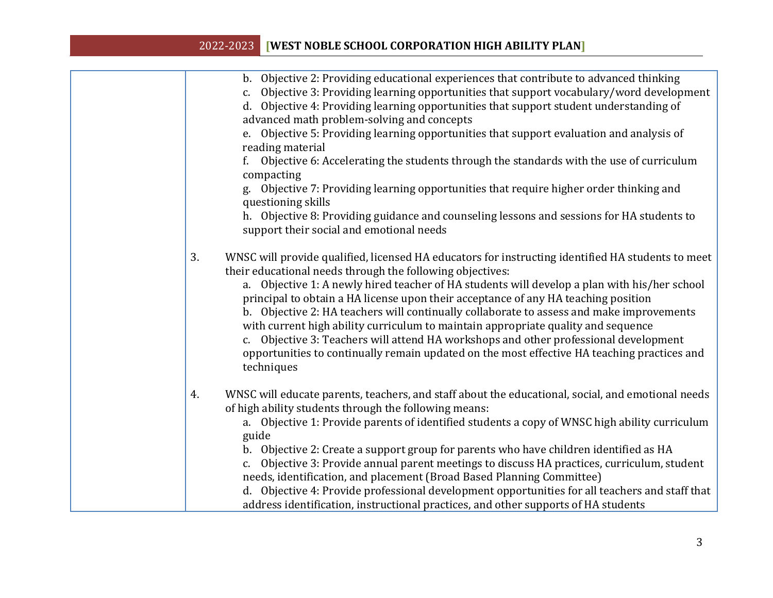| Objective 2: Providing educational experiences that contribute to advanced thinking<br>$b$ .<br>Objective 3: Providing learning opportunities that support vocabulary/word development<br>c.<br>Objective 4: Providing learning opportunities that support student understanding of<br>d.<br>advanced math problem-solving and concepts<br>e. Objective 5: Providing learning opportunities that support evaluation and analysis of<br>reading material<br>Objective 6: Accelerating the students through the standards with the use of curriculum<br>compacting<br>g. Objective 7: Providing learning opportunities that require higher order thinking and<br>questioning skills<br>h. Objective 8: Providing guidance and counseling lessons and sessions for HA students to<br>support their social and emotional needs |
|----------------------------------------------------------------------------------------------------------------------------------------------------------------------------------------------------------------------------------------------------------------------------------------------------------------------------------------------------------------------------------------------------------------------------------------------------------------------------------------------------------------------------------------------------------------------------------------------------------------------------------------------------------------------------------------------------------------------------------------------------------------------------------------------------------------------------|
| 3.<br>WNSC will provide qualified, licensed HA educators for instructing identified HA students to meet<br>their educational needs through the following objectives:<br>a. Objective 1: A newly hired teacher of HA students will develop a plan with his/her school<br>principal to obtain a HA license upon their acceptance of any HA teaching position<br>b. Objective 2: HA teachers will continually collaborate to assess and make improvements<br>with current high ability curriculum to maintain appropriate quality and sequence<br>c. Objective 3: Teachers will attend HA workshops and other professional development<br>opportunities to continually remain updated on the most effective HA teaching practices and<br>techniques                                                                           |
| WNSC will educate parents, teachers, and staff about the educational, social, and emotional needs<br>4.<br>of high ability students through the following means:<br>a. Objective 1: Provide parents of identified students a copy of WNSC high ability curriculum<br>guide<br>b. Objective 2: Create a support group for parents who have children identified as HA<br>Objective 3: Provide annual parent meetings to discuss HA practices, curriculum, student<br>c.<br>needs, identification, and placement (Broad Based Planning Committee)<br>d. Objective 4: Provide professional development opportunities for all teachers and staff that<br>address identification, instructional practices, and other supports of HA students                                                                                     |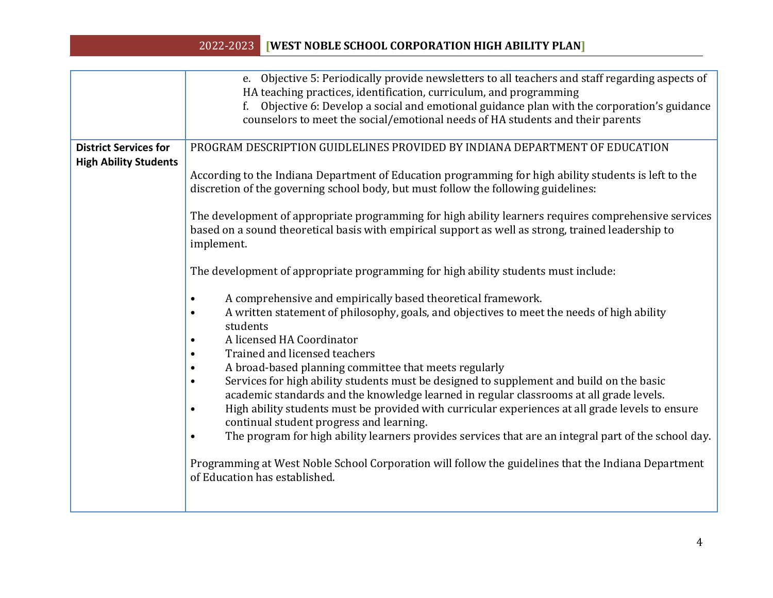|                                                              | e. Objective 5: Periodically provide newsletters to all teachers and staff regarding aspects of<br>HA teaching practices, identification, curriculum, and programming<br>Objective 6: Develop a social and emotional guidance plan with the corporation's guidance<br>f.<br>counselors to meet the social/emotional needs of HA students and their parents                                                                                                                                                                                                                                                                                                                                                                                                                                                                                                                                                                                                                                                                                                                                                                                                                                                                                                                                                                                                                                                                                                                                        |
|--------------------------------------------------------------|---------------------------------------------------------------------------------------------------------------------------------------------------------------------------------------------------------------------------------------------------------------------------------------------------------------------------------------------------------------------------------------------------------------------------------------------------------------------------------------------------------------------------------------------------------------------------------------------------------------------------------------------------------------------------------------------------------------------------------------------------------------------------------------------------------------------------------------------------------------------------------------------------------------------------------------------------------------------------------------------------------------------------------------------------------------------------------------------------------------------------------------------------------------------------------------------------------------------------------------------------------------------------------------------------------------------------------------------------------------------------------------------------------------------------------------------------------------------------------------------------|
| <b>District Services for</b><br><b>High Ability Students</b> | PROGRAM DESCRIPTION GUIDLELINES PROVIDED BY INDIANA DEPARTMENT OF EDUCATION<br>According to the Indiana Department of Education programming for high ability students is left to the<br>discretion of the governing school body, but must follow the following guidelines:<br>The development of appropriate programming for high ability learners requires comprehensive services<br>based on a sound theoretical basis with empirical support as well as strong, trained leadership to<br>implement.<br>The development of appropriate programming for high ability students must include:<br>A comprehensive and empirically based theoretical framework.<br>$\bullet$<br>A written statement of philosophy, goals, and objectives to meet the needs of high ability<br>students<br>A licensed HA Coordinator<br>Trained and licensed teachers<br>A broad-based planning committee that meets regularly<br>Services for high ability students must be designed to supplement and build on the basic<br>academic standards and the knowledge learned in regular classrooms at all grade levels.<br>High ability students must be provided with curricular experiences at all grade levels to ensure<br>continual student progress and learning.<br>The program for high ability learners provides services that are an integral part of the school day.<br>Programming at West Noble School Corporation will follow the guidelines that the Indiana Department<br>of Education has established. |
|                                                              |                                                                                                                                                                                                                                                                                                                                                                                                                                                                                                                                                                                                                                                                                                                                                                                                                                                                                                                                                                                                                                                                                                                                                                                                                                                                                                                                                                                                                                                                                                   |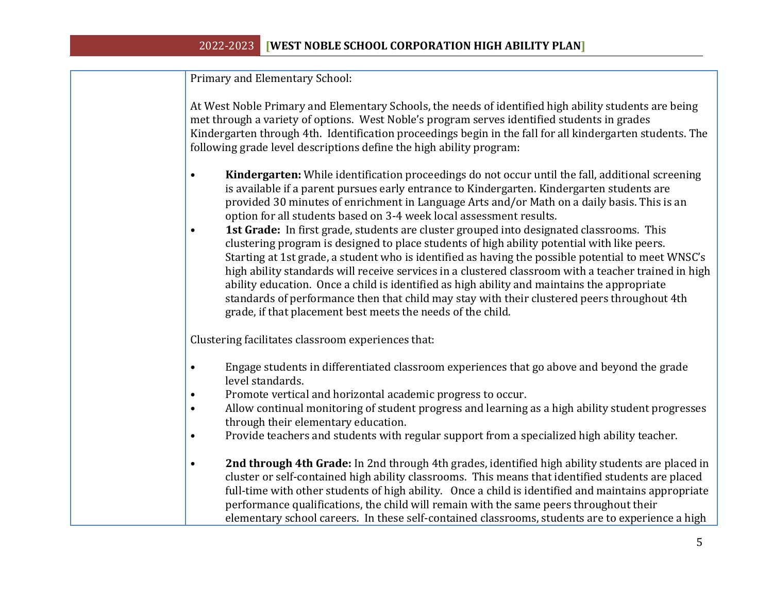Primary and Elementary School:

At West Noble Primary and Elementary Schools, the needs of identified high ability students are being met through a variety of options. West Noble's program serves identified students in grades Kindergarten through 4th. Identification proceedings begin in the fall for all kindergarten students. The following grade level descriptions define the high ability program:

- **Kindergarten:** While identification proceedings do not occur until the fall, additional screening is available if a parent pursues early entrance to Kindergarten. Kindergarten students are provided 30 minutes of enrichment in Language Arts and/or Math on a daily basis. This is an option for all students based on 3-4 week local assessment results.
- **1st Grade:** In first grade, students are cluster grouped into designated classrooms. This clustering program is designed to place students of high ability potential with like peers. Starting at 1st grade, a student who is identified as having the possible potential to meet WNSC's high ability standards will receive services in a clustered classroom with a teacher trained in high ability education. Once a child is identified as high ability and maintains the appropriate standards of performance then that child may stay with their clustered peers throughout 4th grade, if that placement best meets the needs of the child.

Clustering facilitates classroom experiences that:

- Engage students in differentiated classroom experiences that go above and beyond the grade level standards.
- Promote vertical and horizontal academic progress to occur.
- Allow continual monitoring of student progress and learning as a high ability student progresses through their elementary education.
- Provide teachers and students with regular support from a specialized high ability teacher.
- **2nd through 4th Grade:** In 2nd through 4th grades, identified high ability students are placed in cluster or self-contained high ability classrooms. This means that identified students are placed full-time with other students of high ability. Once a child is identified and maintains appropriate performance qualifications, the child will remain with the same peers throughout their elementary school careers. In these self-contained classrooms, students are to experience a high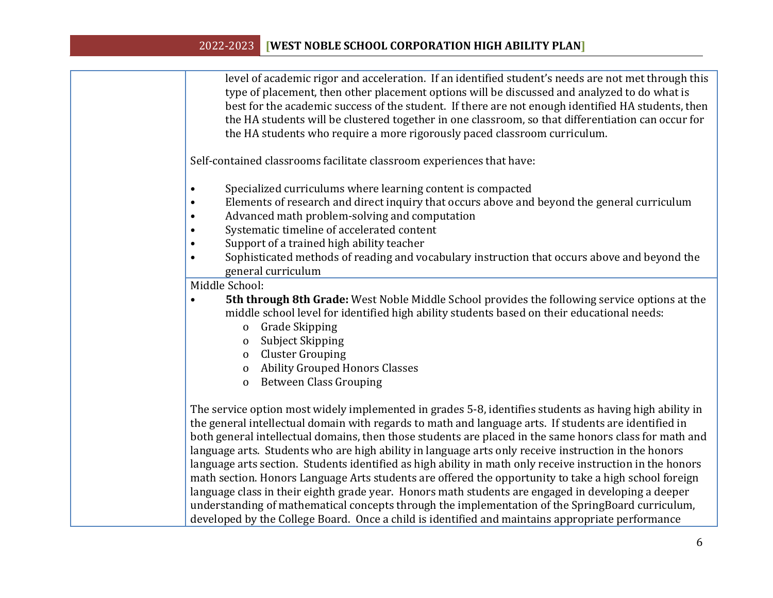| level of academic rigor and acceleration. If an identified student's needs are not met through this |
|-----------------------------------------------------------------------------------------------------|
| type of placement, then other placement options will be discussed and analyzed to do what is        |
| best for the academic success of the student. If there are not enough identified HA students, then  |
| the HA students will be clustered together in one classroom, so that differentiation can occur for  |
| the HA students who require a more rigorously paced classroom curriculum.                           |

Self-contained classrooms facilitate classroom experiences that have:

- Specialized curriculums where learning content is compacted
- Elements of research and direct inquiry that occurs above and beyond the general curriculum
- Advanced math problem-solving and computation
- Systematic timeline of accelerated content
- Support of a trained high ability teacher
- Sophisticated methods of reading and vocabulary instruction that occurs above and beyond the general curriculum

Middle School:

- **5th through 8th Grade:** West Noble Middle School provides the following service options at the middle school level for identified high ability students based on their educational needs:
	- o Grade Skipping
	- o Subject Skipping
	- o Cluster Grouping
	- o Ability Grouped Honors Classes
	- o Between Class Grouping

The service option most widely implemented in grades 5-8, identifies students as having high ability in the general intellectual domain with regards to math and language arts. If students are identified in both general intellectual domains, then those students are placed in the same honors class for math and language arts. Students who are high ability in language arts only receive instruction in the honors language arts section. Students identified as high ability in math only receive instruction in the honors math section. Honors Language Arts students are offered the opportunity to take a high school foreign language class in their eighth grade year. Honors math students are engaged in developing a deeper understanding of mathematical concepts through the implementation of the SpringBoard curriculum, developed by the College Board. Once a child is identified and maintains appropriate performance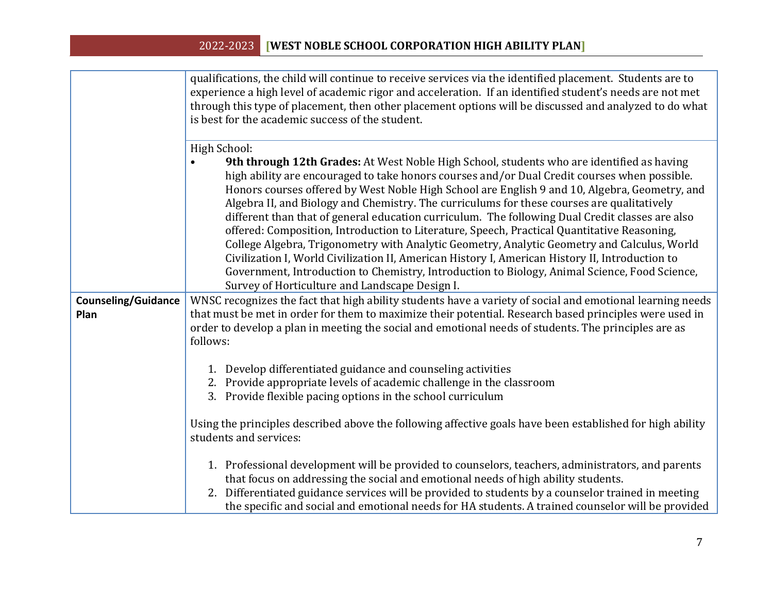|                                    | qualifications, the child will continue to receive services via the identified placement. Students are to<br>experience a high level of academic rigor and acceleration. If an identified student's needs are not met<br>through this type of placement, then other placement options will be discussed and analyzed to do what<br>is best for the academic success of the student.                                                                                                                                                                                                                                                                                                                                                                                                                                                                                                                                                                             |
|------------------------------------|-----------------------------------------------------------------------------------------------------------------------------------------------------------------------------------------------------------------------------------------------------------------------------------------------------------------------------------------------------------------------------------------------------------------------------------------------------------------------------------------------------------------------------------------------------------------------------------------------------------------------------------------------------------------------------------------------------------------------------------------------------------------------------------------------------------------------------------------------------------------------------------------------------------------------------------------------------------------|
|                                    | High School:<br>9th through 12th Grades: At West Noble High School, students who are identified as having<br>high ability are encouraged to take honors courses and/or Dual Credit courses when possible.<br>Honors courses offered by West Noble High School are English 9 and 10, Algebra, Geometry, and<br>Algebra II, and Biology and Chemistry. The curriculums for these courses are qualitatively<br>different than that of general education curriculum. The following Dual Credit classes are also<br>offered: Composition, Introduction to Literature, Speech, Practical Quantitative Reasoning,<br>College Algebra, Trigonometry with Analytic Geometry, Analytic Geometry and Calculus, World<br>Civilization I, World Civilization II, American History I, American History II, Introduction to<br>Government, Introduction to Chemistry, Introduction to Biology, Animal Science, Food Science,<br>Survey of Horticulture and Landscape Design I. |
| <b>Counseling/Guidance</b><br>Plan | WNSC recognizes the fact that high ability students have a variety of social and emotional learning needs<br>that must be met in order for them to maximize their potential. Research based principles were used in<br>order to develop a plan in meeting the social and emotional needs of students. The principles are as<br>follows:                                                                                                                                                                                                                                                                                                                                                                                                                                                                                                                                                                                                                         |
|                                    | 1. Develop differentiated guidance and counseling activities<br>2. Provide appropriate levels of academic challenge in the classroom<br>3. Provide flexible pacing options in the school curriculum                                                                                                                                                                                                                                                                                                                                                                                                                                                                                                                                                                                                                                                                                                                                                             |
|                                    | Using the principles described above the following affective goals have been established for high ability<br>students and services:                                                                                                                                                                                                                                                                                                                                                                                                                                                                                                                                                                                                                                                                                                                                                                                                                             |
|                                    | 1. Professional development will be provided to counselors, teachers, administrators, and parents<br>that focus on addressing the social and emotional needs of high ability students.<br>2. Differentiated guidance services will be provided to students by a counselor trained in meeting<br>the specific and social and emotional needs for HA students. A trained counselor will be provided                                                                                                                                                                                                                                                                                                                                                                                                                                                                                                                                                               |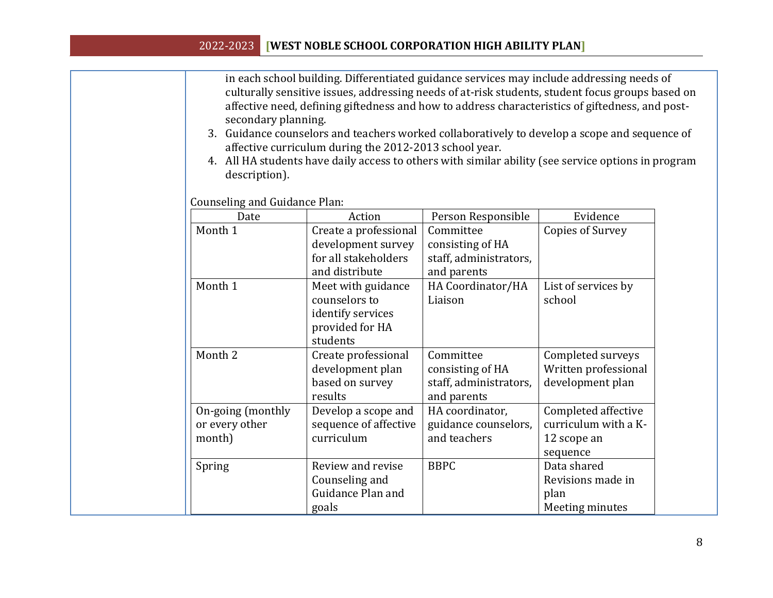in each school building. Differentiated guidance services may include addressing needs of culturally sensitive issues, addressing needs of at-risk students, student focus groups based on affective need, defining giftedness and how to address characteristics of giftedness, and postsecondary planning.

- 3. Guidance counselors and teachers worked collaboratively to develop a scope and sequence of affective curriculum during the 2012-2013 school year.
- 4. All HA students have daily access to others with similar ability (see service options in program description).

Counseling and Guidance Plan:

| Date                                          | Action                                                                                  | Person Responsible                                                     | Evidence                                                               |
|-----------------------------------------------|-----------------------------------------------------------------------------------------|------------------------------------------------------------------------|------------------------------------------------------------------------|
| Month 1                                       | Create a professional<br>development survey<br>for all stakeholders<br>and distribute   | Committee<br>consisting of HA<br>staff, administrators,<br>and parents | Copies of Survey                                                       |
| Month 1                                       | Meet with guidance<br>counselors to<br>identify services<br>provided for HA<br>students | HA Coordinator/HA<br>Liaison                                           | List of services by<br>school                                          |
| Month 2                                       | Create professional<br>development plan<br>based on survey<br>results                   | Committee<br>consisting of HA<br>staff, administrators,<br>and parents | Completed surveys<br>Written professional<br>development plan          |
| On-going (monthly<br>or every other<br>month) | Develop a scope and<br>sequence of affective<br>curriculum                              | HA coordinator,<br>guidance counselors,<br>and teachers                | Completed affective<br>curriculum with a K-<br>12 scope an<br>sequence |
| Spring                                        | Review and revise<br>Counseling and<br>Guidance Plan and<br>goals                       | <b>BBPC</b>                                                            | Data shared<br>Revisions made in<br>plan<br>Meeting minutes            |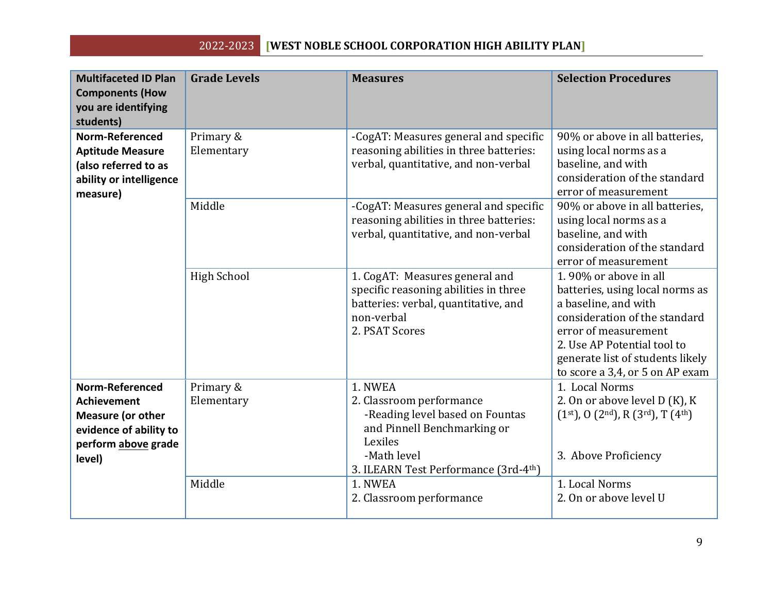| <b>Multifaceted ID Plan</b><br><b>Components (How</b><br>you are identifying<br>students)                                    | <b>Grade Levels</b>     | <b>Measures</b>                                                                                                                                                         | <b>Selection Procedures</b>                                                                                                                                                                                                                     |
|------------------------------------------------------------------------------------------------------------------------------|-------------------------|-------------------------------------------------------------------------------------------------------------------------------------------------------------------------|-------------------------------------------------------------------------------------------------------------------------------------------------------------------------------------------------------------------------------------------------|
| <b>Norm-Referenced</b><br><b>Aptitude Measure</b><br>(also referred to as<br>ability or intelligence<br>measure)             | Primary &<br>Elementary | -CogAT: Measures general and specific<br>reasoning abilities in three batteries:<br>verbal, quantitative, and non-verbal                                                | 90% or above in all batteries,<br>using local norms as a<br>baseline, and with<br>consideration of the standard<br>error of measurement                                                                                                         |
|                                                                                                                              | Middle                  | -CogAT: Measures general and specific<br>reasoning abilities in three batteries:<br>verbal, quantitative, and non-verbal                                                | 90% or above in all batteries,<br>using local norms as a<br>baseline, and with<br>consideration of the standard<br>error of measurement                                                                                                         |
|                                                                                                                              | <b>High School</b>      | 1. CogAT: Measures general and<br>specific reasoning abilities in three<br>batteries: verbal, quantitative, and<br>non-verbal<br>2. PSAT Scores                         | 1.90% or above in all<br>batteries, using local norms as<br>a baseline, and with<br>consideration of the standard<br>error of measurement<br>2. Use AP Potential tool to<br>generate list of students likely<br>to score a 3,4, or 5 on AP exam |
| Norm-Referenced<br><b>Achievement</b><br><b>Measure (or other</b><br>evidence of ability to<br>perform above grade<br>level) | Primary &<br>Elementary | 1. NWEA<br>2. Classroom performance<br>-Reading level based on Fountas<br>and Pinnell Benchmarking or<br>Lexiles<br>-Math level<br>3. ILEARN Test Performance (3rd-4th) | 1. Local Norms<br>2. On or above level D (K), K<br>$(1st), 0$ $(2nd), R$ $(3rd), T$ $(4th)$<br>3. Above Proficiency                                                                                                                             |
|                                                                                                                              | Middle                  | 1. NWEA<br>2. Classroom performance                                                                                                                                     | 1. Local Norms<br>2. On or above level U                                                                                                                                                                                                        |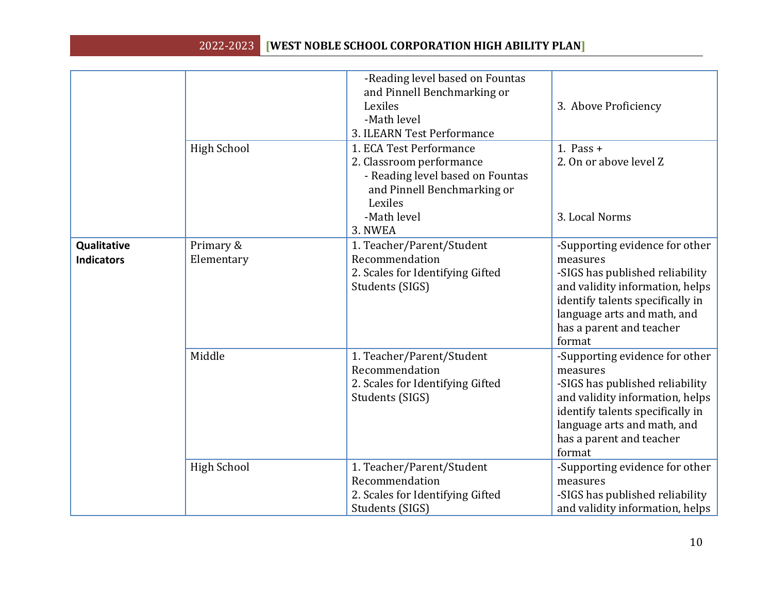|                                  |                         | -Reading level based on Fountas<br>and Pinnell Benchmarking or<br>Lexiles<br>-Math level<br>3. ILEARN Test Performance                                      | 3. Above Proficiency                                                                                                                                                                                                      |
|----------------------------------|-------------------------|-------------------------------------------------------------------------------------------------------------------------------------------------------------|---------------------------------------------------------------------------------------------------------------------------------------------------------------------------------------------------------------------------|
|                                  | High School             | 1. ECA Test Performance<br>2. Classroom performance<br>- Reading level based on Fountas<br>and Pinnell Benchmarking or<br>Lexiles<br>-Math level<br>3. NWEA | 1. Pass $+$<br>2. On or above level Z<br>3. Local Norms                                                                                                                                                                   |
| Qualitative<br><b>Indicators</b> | Primary &<br>Elementary | 1. Teacher/Parent/Student<br>Recommendation<br>2. Scales for Identifying Gifted<br>Students (SIGS)                                                          | -Supporting evidence for other<br>measures<br>-SIGS has published reliability<br>and validity information, helps<br>identify talents specifically in<br>language arts and math, and<br>has a parent and teacher<br>format |
|                                  | Middle                  | 1. Teacher/Parent/Student<br>Recommendation<br>2. Scales for Identifying Gifted<br>Students (SIGS)                                                          | -Supporting evidence for other<br>measures<br>-SIGS has published reliability<br>and validity information, helps<br>identify talents specifically in<br>language arts and math, and<br>has a parent and teacher<br>format |
|                                  | High School             | 1. Teacher/Parent/Student<br>Recommendation<br>2. Scales for Identifying Gifted<br>Students (SIGS)                                                          | -Supporting evidence for other<br>measures<br>-SIGS has published reliability<br>and validity information, helps                                                                                                          |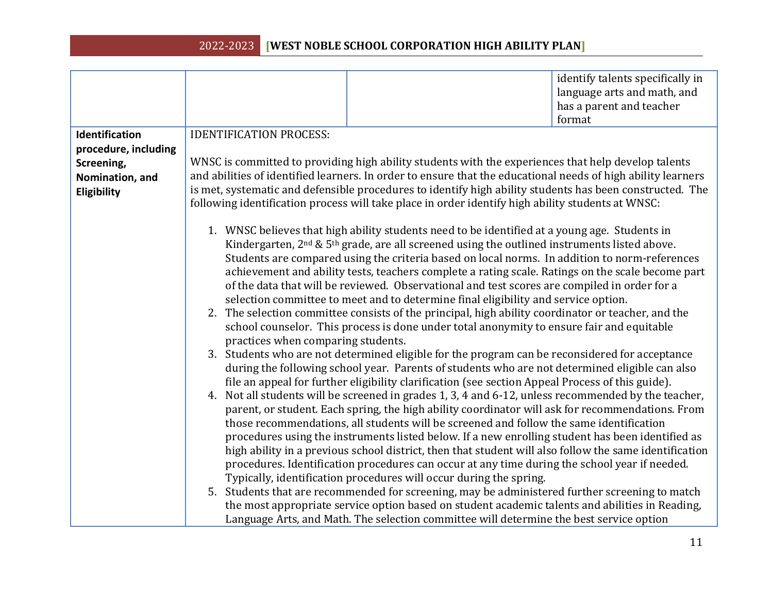|                      |                                                                                                                                                                                                  |                                                                                                              | identify talents specifically in |  |  |
|----------------------|--------------------------------------------------------------------------------------------------------------------------------------------------------------------------------------------------|--------------------------------------------------------------------------------------------------------------|----------------------------------|--|--|
|                      |                                                                                                                                                                                                  |                                                                                                              | language arts and math, and      |  |  |
|                      |                                                                                                                                                                                                  |                                                                                                              | has a parent and teacher         |  |  |
|                      |                                                                                                                                                                                                  |                                                                                                              | format                           |  |  |
| Identification       | <b>IDENTIFICATION PROCESS:</b>                                                                                                                                                                   |                                                                                                              |                                  |  |  |
| procedure, including |                                                                                                                                                                                                  |                                                                                                              |                                  |  |  |
| Screening,           |                                                                                                                                                                                                  | WNSC is committed to providing high ability students with the experiences that help develop talents          |                                  |  |  |
| Nomination, and      |                                                                                                                                                                                                  | and abilities of identified learners. In order to ensure that the educational needs of high ability learners |                                  |  |  |
| Eligibility          |                                                                                                                                                                                                  | is met, systematic and defensible procedures to identify high ability students has been constructed. The     |                                  |  |  |
|                      |                                                                                                                                                                                                  | following identification process will take place in order identify high ability students at WNSC:            |                                  |  |  |
|                      |                                                                                                                                                                                                  |                                                                                                              |                                  |  |  |
|                      |                                                                                                                                                                                                  | 1. WNSC believes that high ability students need to be identified at a young age. Students in                |                                  |  |  |
|                      | Kindergarten, $2nd$ & $5th$ grade, are all screened using the outlined instruments listed above.                                                                                                 |                                                                                                              |                                  |  |  |
|                      | Students are compared using the criteria based on local norms. In addition to norm-references                                                                                                    |                                                                                                              |                                  |  |  |
|                      | achievement and ability tests, teachers complete a rating scale. Ratings on the scale become part                                                                                                |                                                                                                              |                                  |  |  |
|                      | of the data that will be reviewed. Observational and test scores are compiled in order for a                                                                                                     |                                                                                                              |                                  |  |  |
|                      | selection committee to meet and to determine final eligibility and service option.                                                                                                               |                                                                                                              |                                  |  |  |
|                      | 2. The selection committee consists of the principal, high ability coordinator or teacher, and the                                                                                               |                                                                                                              |                                  |  |  |
|                      | school counselor. This process is done under total anonymity to ensure fair and equitable<br>practices when comparing students.                                                                  |                                                                                                              |                                  |  |  |
|                      |                                                                                                                                                                                                  |                                                                                                              |                                  |  |  |
|                      | 3. Students who are not determined eligible for the program can be reconsidered for acceptance<br>during the following school year. Parents of students who are not determined eligible can also |                                                                                                              |                                  |  |  |
|                      | file an appeal for further eligibility clarification (see section Appeal Process of this guide).                                                                                                 |                                                                                                              |                                  |  |  |
|                      |                                                                                                                                                                                                  | 4. Not all students will be screened in grades 1, 3, 4 and 6-12, unless recommended by the teacher,          |                                  |  |  |
|                      |                                                                                                                                                                                                  | parent, or student. Each spring, the high ability coordinator will ask for recommendations. From             |                                  |  |  |
|                      |                                                                                                                                                                                                  | those recommendations, all students will be screened and follow the same identification                      |                                  |  |  |
|                      |                                                                                                                                                                                                  | procedures using the instruments listed below. If a new enrolling student has been identified as             |                                  |  |  |
|                      |                                                                                                                                                                                                  | high ability in a previous school district, then that student will also follow the same identification       |                                  |  |  |
|                      |                                                                                                                                                                                                  | procedures. Identification procedures can occur at any time during the school year if needed.                |                                  |  |  |
|                      |                                                                                                                                                                                                  | Typically, identification procedures will occur during the spring.                                           |                                  |  |  |
|                      |                                                                                                                                                                                                  | 5. Students that are recommended for screening, may be administered further screening to match               |                                  |  |  |
|                      |                                                                                                                                                                                                  | the most appropriate service option based on student academic talents and abilities in Reading,              |                                  |  |  |
|                      |                                                                                                                                                                                                  | Language Arts, and Math. The selection committee will determine the best service option                      |                                  |  |  |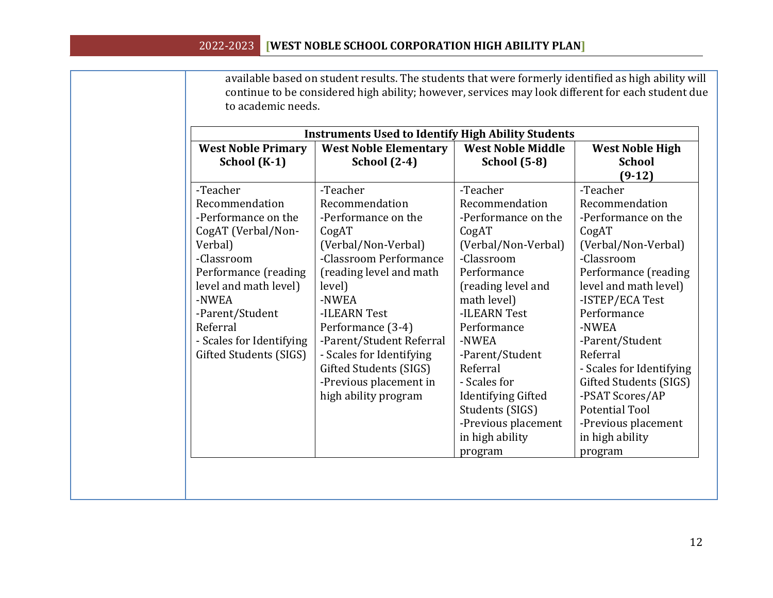available based on student results. The students that were formerly identified as high ability will continue to be considered high ability; however, services may look different for each student due to academic needs.

| <b>West Noble Primary</b> | <b>West Noble Elementary</b> | <b>West Noble Middle</b>  | <b>West Noble High</b>   |  |
|---------------------------|------------------------------|---------------------------|--------------------------|--|
| School (K-1)              | <b>School</b> (2-4)          | <b>School</b> (5-8)       | <b>School</b>            |  |
|                           |                              |                           | $(9-12)$                 |  |
| -Teacher                  | -Teacher                     | -Teacher                  | -Teacher                 |  |
| Recommendation            | Recommendation               | Recommendation            | Recommendation           |  |
| -Performance on the       | -Performance on the          | -Performance on the       | -Performance on the      |  |
| CogAT (Verbal/Non-        | CogAT                        | CogAT                     | CogAT                    |  |
| Verbal)                   | (Verbal/Non-Verbal)          | (Verbal/Non-Verbal)       | (Verbal/Non-Verbal)      |  |
| -Classroom                | -Classroom Performance       | -Classroom                | -Classroom               |  |
| Performance (reading      | (reading level and math      | Performance               | Performance (reading     |  |
| level and math level)     | level)                       | (reading level and        | level and math level)    |  |
| -NWEA                     | -NWEA                        | math level)               | -ISTEP/ECA Test          |  |
| -Parent/Student           | -ILEARN Test                 | -ILEARN Test              | Performance              |  |
| Referral                  | Performance (3-4)            | Performance               | -NWEA                    |  |
| - Scales for Identifying  | -Parent/Student Referral     | -NWEA                     | -Parent/Student          |  |
| Gifted Students (SIGS)    | - Scales for Identifying     | -Parent/Student           | Referral                 |  |
|                           | Gifted Students (SIGS)       | Referral                  | - Scales for Identifying |  |
|                           | -Previous placement in       | - Scales for              | Gifted Students (SIGS)   |  |
|                           | high ability program         | <b>Identifying Gifted</b> | -PSAT Scores/AP          |  |
|                           |                              | Students (SIGS)           | <b>Potential Tool</b>    |  |
|                           |                              | -Previous placement       | -Previous placement      |  |
|                           |                              | in high ability           | in high ability          |  |
|                           |                              | program                   | program                  |  |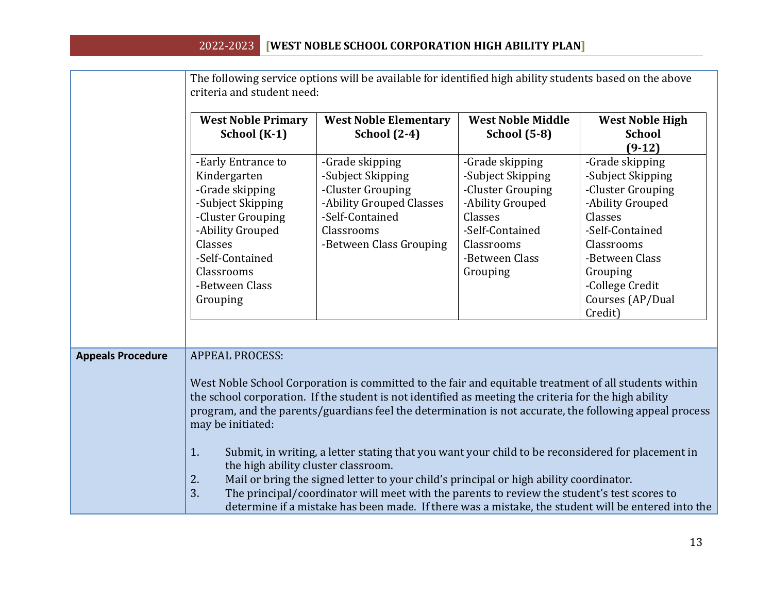|                          | The following service options will be available for identified high ability students based on the above<br>criteria and student need:                                                         |                                                                                                                                                                                                                                                                                                                                                                                                                                                                                                                                                                                                                                                                                                                               |                                                                                                                                                         |                                                                                                                                                                                                           |
|--------------------------|-----------------------------------------------------------------------------------------------------------------------------------------------------------------------------------------------|-------------------------------------------------------------------------------------------------------------------------------------------------------------------------------------------------------------------------------------------------------------------------------------------------------------------------------------------------------------------------------------------------------------------------------------------------------------------------------------------------------------------------------------------------------------------------------------------------------------------------------------------------------------------------------------------------------------------------------|---------------------------------------------------------------------------------------------------------------------------------------------------------|-----------------------------------------------------------------------------------------------------------------------------------------------------------------------------------------------------------|
|                          | <b>West Noble Primary</b><br>School (K-1)                                                                                                                                                     | <b>West Noble Elementary</b><br><b>School</b> (2-4)                                                                                                                                                                                                                                                                                                                                                                                                                                                                                                                                                                                                                                                                           | <b>West Noble Middle</b><br><b>School</b> (5-8)                                                                                                         | <b>West Noble High</b><br><b>School</b><br>$(9-12)$                                                                                                                                                       |
|                          | -Early Entrance to<br>Kindergarten<br>-Grade skipping<br>-Subject Skipping<br>-Cluster Grouping<br>-Ability Grouped<br>Classes<br>-Self-Contained<br>Classrooms<br>-Between Class<br>Grouping | -Grade skipping<br>-Subject Skipping<br>-Cluster Grouping<br>-Ability Grouped Classes<br>-Self-Contained<br>Classrooms<br>-Between Class Grouping                                                                                                                                                                                                                                                                                                                                                                                                                                                                                                                                                                             | -Grade skipping<br>-Subject Skipping<br>-Cluster Grouping<br>-Ability Grouped<br>Classes<br>-Self-Contained<br>Classrooms<br>-Between Class<br>Grouping | -Grade skipping<br>-Subject Skipping<br>-Cluster Grouping<br>-Ability Grouped<br>Classes<br>-Self-Contained<br>Classrooms<br>-Between Class<br>Grouping<br>-College Credit<br>Courses (AP/Dual<br>Credit) |
| <b>Appeals Procedure</b> | <b>APPEAL PROCESS:</b><br>may be initiated:<br>1.<br>the high ability cluster classroom.<br>2.<br>3.                                                                                          | West Noble School Corporation is committed to the fair and equitable treatment of all students within<br>the school corporation. If the student is not identified as meeting the criteria for the high ability<br>program, and the parents/guardians feel the determination is not accurate, the following appeal process<br>Submit, in writing, a letter stating that you want your child to be reconsidered for placement in<br>Mail or bring the signed letter to your child's principal or high ability coordinator.<br>The principal/coordinator will meet with the parents to review the student's test scores to<br>determine if a mistake has been made. If there was a mistake, the student will be entered into the |                                                                                                                                                         |                                                                                                                                                                                                           |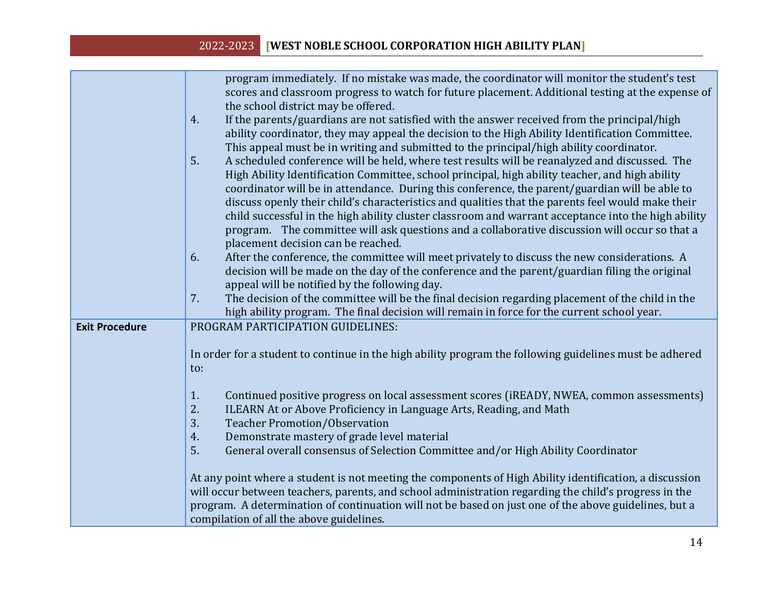|                       | program immediately. If no mistake was made, the coordinator will monitor the student's test            |
|-----------------------|---------------------------------------------------------------------------------------------------------|
|                       | scores and classroom progress to watch for future placement. Additional testing at the expense of       |
|                       | the school district may be offered.                                                                     |
|                       | If the parents/guardians are not satisfied with the answer received from the principal/high<br>4.       |
|                       | ability coordinator, they may appeal the decision to the High Ability Identification Committee.         |
|                       | This appeal must be in writing and submitted to the principal/high ability coordinator.                 |
|                       | 5.<br>A scheduled conference will be held, where test results will be reanalyzed and discussed. The     |
|                       | High Ability Identification Committee, school principal, high ability teacher, and high ability         |
|                       | coordinator will be in attendance. During this conference, the parent/guardian will be able to          |
|                       | discuss openly their child's characteristics and qualities that the parents feel would make their       |
|                       | child successful in the high ability cluster classroom and warrant acceptance into the high ability     |
|                       | program. The committee will ask questions and a collaborative discussion will occur so that a           |
|                       | placement decision can be reached.                                                                      |
|                       | After the conference, the committee will meet privately to discuss the new considerations. A<br>6.      |
|                       | decision will be made on the day of the conference and the parent/guardian filing the original          |
|                       | appeal will be notified by the following day.                                                           |
|                       | The decision of the committee will be the final decision regarding placement of the child in the<br>7.  |
|                       | high ability program. The final decision will remain in force for the current school year.              |
| <b>Exit Procedure</b> | PROGRAM PARTICIPATION GUIDELINES:                                                                       |
|                       |                                                                                                         |
|                       | In order for a student to continue in the high ability program the following guidelines must be adhered |
|                       | to:                                                                                                     |
|                       |                                                                                                         |
|                       | Continued positive progress on local assessment scores (iREADY, NWEA, common assessments)<br>1.         |
|                       | 2.<br>ILEARN At or Above Proficiency in Language Arts, Reading, and Math                                |
|                       | 3.<br><b>Teacher Promotion/Observation</b>                                                              |
|                       | Demonstrate mastery of grade level material<br>4.                                                       |
|                       | 5.<br>General overall consensus of Selection Committee and/or High Ability Coordinator                  |
|                       |                                                                                                         |
|                       | At any point where a student is not meeting the components of High Ability identification, a discussion |
|                       | will occur between teachers, parents, and school administration regarding the child's progress in the   |
|                       | program. A determination of continuation will not be based on just one of the above guidelines, but a   |
|                       | compilation of all the above guidelines.                                                                |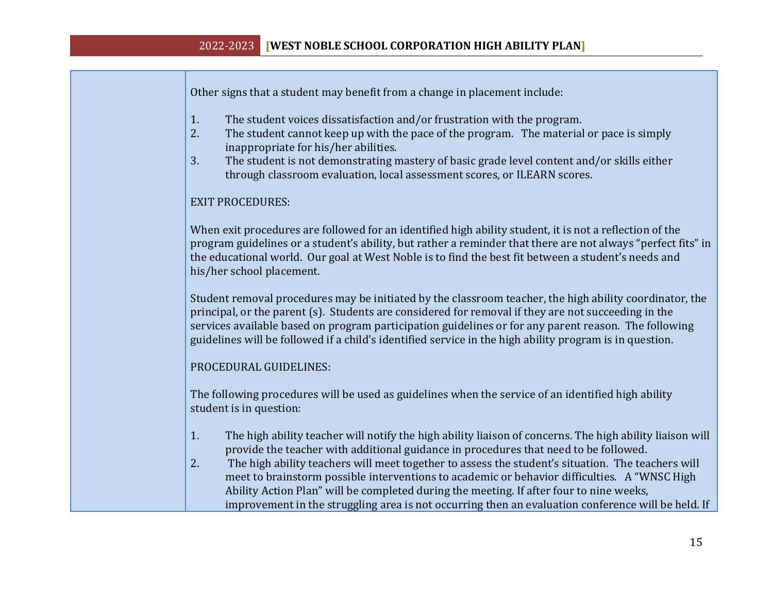Other signs that a student may benefit from a change in placement include:

- 1. The student voices dissatisfaction and/or frustration with the program.
- 2. The student cannot keep up with the pace of the program. The material or pace is simply inappropriate for his/her abilities.
- 3. The student is not demonstrating mastery of basic grade level content and/or skills either through classroom evaluation, local assessment scores, or ILEARN scores.

#### EXIT PROCEDURES:

When exit procedures are followed for an identified high ability student, it is not a reflection of the program guidelines or a student's ability, but rather a reminder that there are not always "perfect fits" in the educational world. Our goal at West Noble is to find the best fit between a student's needs and his/her school placement.

Student removal procedures may be initiated by the classroom teacher, the high ability coordinator, the principal, or the parent (s). Students are considered for removal if they are not succeeding in the services available based on program participation guidelines or for any parent reason. The following guidelines will be followed if a child's identified service in the high ability program is in question.

#### PROCEDURAL GUIDELINES:

The following procedures will be used as guidelines when the service of an identified high ability student is in question:

- 1. The high ability teacher will notify the high ability liaison of concerns. The high ability liaison will provide the teacher with additional guidance in procedures that need to be followed.
- 2. The high ability teachers will meet together to assess the student's situation. The teachers will meet to brainstorm possible interventions to academic or behavior difficulties. A "WNSC High Ability Action Plan" will be completed during the meeting. If after four to nine weeks, improvement in the struggling area is not occurring then an evaluation conference will be held. If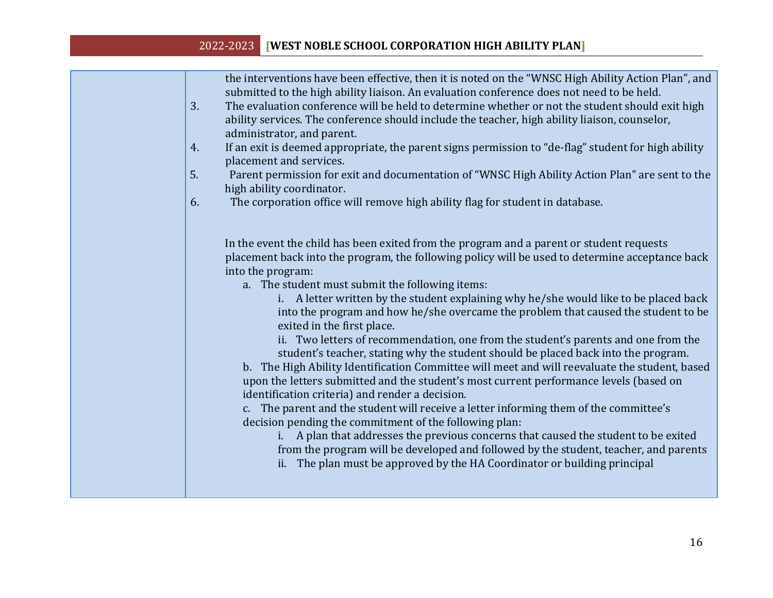| the interventions have been effective, then it is noted on the "WNSC High Ability Action Plan", and<br>submitted to the high ability liaison. An evaluation conference does not need to be held.<br>3.<br>The evaluation conference will be held to determine whether or not the student should exit high<br>ability services. The conference should include the teacher, high ability liaison, counselor,<br>administrator, and parent.<br>If an exit is deemed appropriate, the parent signs permission to "de-flag" student for high ability<br>4.<br>placement and services.                                                                                                                                                                                                                                                                                                                                                                                                                                                                                                                                                                                                                                                                                                                                       |
|------------------------------------------------------------------------------------------------------------------------------------------------------------------------------------------------------------------------------------------------------------------------------------------------------------------------------------------------------------------------------------------------------------------------------------------------------------------------------------------------------------------------------------------------------------------------------------------------------------------------------------------------------------------------------------------------------------------------------------------------------------------------------------------------------------------------------------------------------------------------------------------------------------------------------------------------------------------------------------------------------------------------------------------------------------------------------------------------------------------------------------------------------------------------------------------------------------------------------------------------------------------------------------------------------------------------|
| 5.<br>Parent permission for exit and documentation of "WNSC High Ability Action Plan" are sent to the<br>high ability coordinator.                                                                                                                                                                                                                                                                                                                                                                                                                                                                                                                                                                                                                                                                                                                                                                                                                                                                                                                                                                                                                                                                                                                                                                                     |
| The corporation office will remove high ability flag for student in database.<br>6.                                                                                                                                                                                                                                                                                                                                                                                                                                                                                                                                                                                                                                                                                                                                                                                                                                                                                                                                                                                                                                                                                                                                                                                                                                    |
| In the event the child has been exited from the program and a parent or student requests<br>placement back into the program, the following policy will be used to determine acceptance back<br>into the program:<br>a. The student must submit the following items:<br>i. A letter written by the student explaining why he/she would like to be placed back<br>into the program and how he/she overcame the problem that caused the student to be<br>exited in the first place.<br>ii. Two letters of recommendation, one from the student's parents and one from the<br>student's teacher, stating why the student should be placed back into the program.<br>b. The High Ability Identification Committee will meet and will reevaluate the student, based<br>upon the letters submitted and the student's most current performance levels (based on<br>identification criteria) and render a decision.<br>c. The parent and the student will receive a letter informing them of the committee's<br>decision pending the commitment of the following plan:<br>A plan that addresses the previous concerns that caused the student to be exited<br>from the program will be developed and followed by the student, teacher, and parents<br>ii. The plan must be approved by the HA Coordinator or building principal |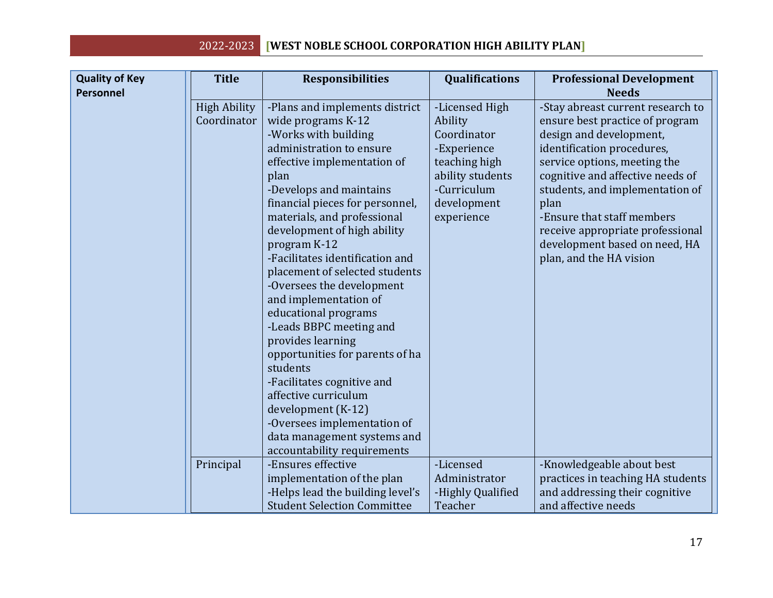| <b>Quality of Key</b><br><b>Personnel</b> | <b>Title</b>                                    | <b>Responsibilities</b>                                                                                                                                                                                                                                                                                                                                                                                                                                                                                                                                                                                                                                                                                                                      | <b>Qualifications</b>                                                                                                                                 | <b>Professional Development</b><br><b>Needs</b>                                                                                                                                                                                                                                                                                                                                                         |
|-------------------------------------------|-------------------------------------------------|----------------------------------------------------------------------------------------------------------------------------------------------------------------------------------------------------------------------------------------------------------------------------------------------------------------------------------------------------------------------------------------------------------------------------------------------------------------------------------------------------------------------------------------------------------------------------------------------------------------------------------------------------------------------------------------------------------------------------------------------|-------------------------------------------------------------------------------------------------------------------------------------------------------|---------------------------------------------------------------------------------------------------------------------------------------------------------------------------------------------------------------------------------------------------------------------------------------------------------------------------------------------------------------------------------------------------------|
|                                           | <b>High Ability</b><br>Coordinator<br>Principal | -Plans and implements district<br>wide programs K-12<br>-Works with building<br>administration to ensure<br>effective implementation of<br>plan<br>-Develops and maintains<br>financial pieces for personnel,<br>materials, and professional<br>development of high ability<br>program K-12<br>-Facilitates identification and<br>placement of selected students<br>-Oversees the development<br>and implementation of<br>educational programs<br>-Leads BBPC meeting and<br>provides learning<br>opportunities for parents of ha<br>students<br>-Facilitates cognitive and<br>affective curriculum<br>development (K-12)<br>-Oversees implementation of<br>data management systems and<br>accountability requirements<br>-Ensures effective | -Licensed High<br>Ability<br>Coordinator<br>-Experience<br>teaching high<br>ability students<br>-Curriculum<br>development<br>experience<br>-Licensed | -Stay abreast current research to<br>ensure best practice of program<br>design and development,<br>identification procedures,<br>service options, meeting the<br>cognitive and affective needs of<br>students, and implementation of<br>plan<br>-Ensure that staff members<br>receive appropriate professional<br>development based on need, HA<br>plan, and the HA vision<br>-Knowledgeable about best |
|                                           |                                                 | implementation of the plan<br>-Helps lead the building level's<br><b>Student Selection Committee</b>                                                                                                                                                                                                                                                                                                                                                                                                                                                                                                                                                                                                                                         | Administrator<br>-Highly Qualified<br>Teacher                                                                                                         | practices in teaching HA students<br>and addressing their cognitive<br>and affective needs                                                                                                                                                                                                                                                                                                              |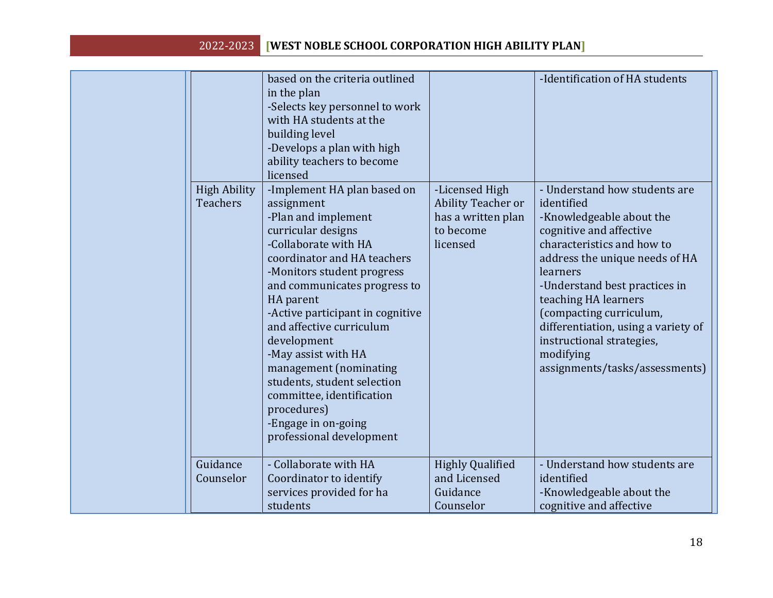| <b>High Ability</b><br><b>Teachers</b> | based on the criteria outlined<br>in the plan<br>-Selects key personnel to work<br>with HA students at the<br>building level<br>-Develops a plan with high<br>ability teachers to become<br>licensed<br>-Implement HA plan based on<br>assignment<br>-Plan and implement<br>curricular designs<br>-Collaborate with HA<br>coordinator and HA teachers<br>-Monitors student progress<br>and communicates progress to<br>HA parent<br>-Active participant in cognitive<br>and affective curriculum<br>development<br>-May assist with HA<br>management (nominating<br>students, student selection<br>committee, identification<br>procedures)<br>-Engage in on-going<br>professional development | -Licensed High<br><b>Ability Teacher or</b><br>has a written plan<br>to become<br>licensed | -Identification of HA students<br>- Understand how students are<br>identified<br>-Knowledgeable about the<br>cognitive and affective<br>characteristics and how to<br>address the unique needs of HA<br>learners<br>-Understand best practices in<br>teaching HA learners<br>(compacting curriculum,<br>differentiation, using a variety of<br>instructional strategies,<br>modifying<br>assignments/tasks/assessments) |
|----------------------------------------|------------------------------------------------------------------------------------------------------------------------------------------------------------------------------------------------------------------------------------------------------------------------------------------------------------------------------------------------------------------------------------------------------------------------------------------------------------------------------------------------------------------------------------------------------------------------------------------------------------------------------------------------------------------------------------------------|--------------------------------------------------------------------------------------------|-------------------------------------------------------------------------------------------------------------------------------------------------------------------------------------------------------------------------------------------------------------------------------------------------------------------------------------------------------------------------------------------------------------------------|
| Guidance<br>Counselor                  | - Collaborate with HA<br>Coordinator to identify<br>services provided for ha<br>students                                                                                                                                                                                                                                                                                                                                                                                                                                                                                                                                                                                                       | <b>Highly Qualified</b><br>and Licensed<br>Guidance<br>Counselor                           | - Understand how students are<br>identified<br>-Knowledgeable about the<br>cognitive and affective                                                                                                                                                                                                                                                                                                                      |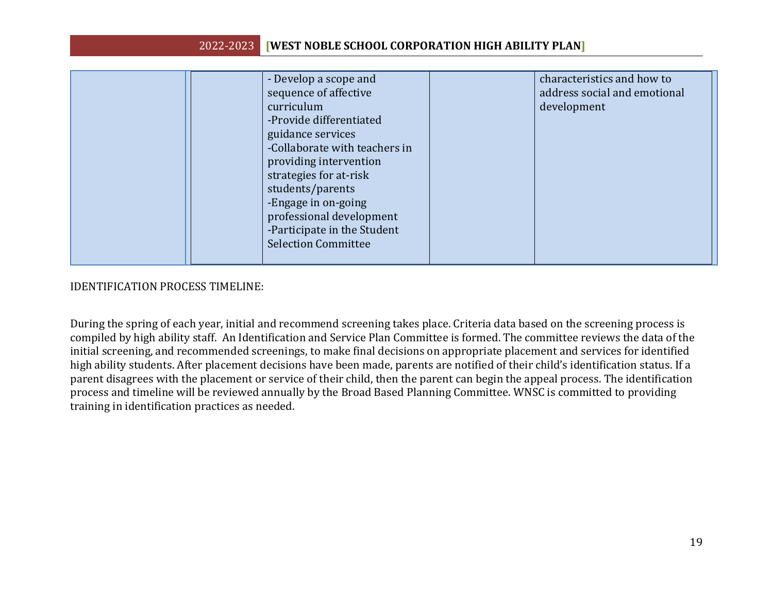| - Develop a scope and<br>sequence of affective<br>curriculum<br>-Provide differentiated<br>guidance services<br>-Collaborate with teachers in<br>providing intervention<br>strategies for at-risk<br>students/parents<br>-Engage in on-going<br>professional development<br>-Participate in the Student<br><b>Selection Committee</b> | characteristics and how to<br>address social and emotional<br>development |
|---------------------------------------------------------------------------------------------------------------------------------------------------------------------------------------------------------------------------------------------------------------------------------------------------------------------------------------|---------------------------------------------------------------------------|
|---------------------------------------------------------------------------------------------------------------------------------------------------------------------------------------------------------------------------------------------------------------------------------------------------------------------------------------|---------------------------------------------------------------------------|

#### IDENTIFICATION PROCESS TIMELINE:

During the spring of each year, initial and recommend screening takes place. Criteria data based on the screening process is compiled by high ability staff. An Identification and Service Plan Committee is formed. The committee reviews the data of the initial screening, and recommended screenings, to make final decisions on appropriate placement and services for identified high ability students. After placement decisions have been made, parents are notified of their child's identification status. If a parent disagrees with the placement or service of their child, then the parent can begin the appeal process. The identification process and timeline will be reviewed annually by the Broad Based Planning Committee. WNSC is committed to providing training in identification practices as needed.